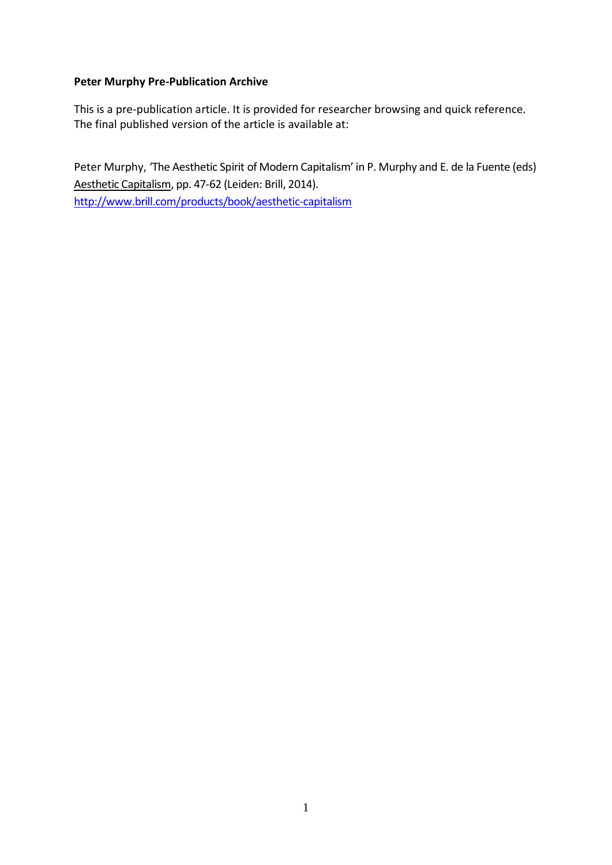## **Peter Murphy Pre-Publication Archive**

This is a pre-publication article. It is provided for researcher browsing and quick reference. The final published version of the article is available at:

Peter Murphy, 'The Aesthetic Spirit of Modern Capitalism' in P. Murphy and E. de la Fuente (eds) Aesthetic Capitalism, pp. 47-62 (Leiden: Brill, 2014). <http://www.brill.com/products/book/aesthetic-capitalism>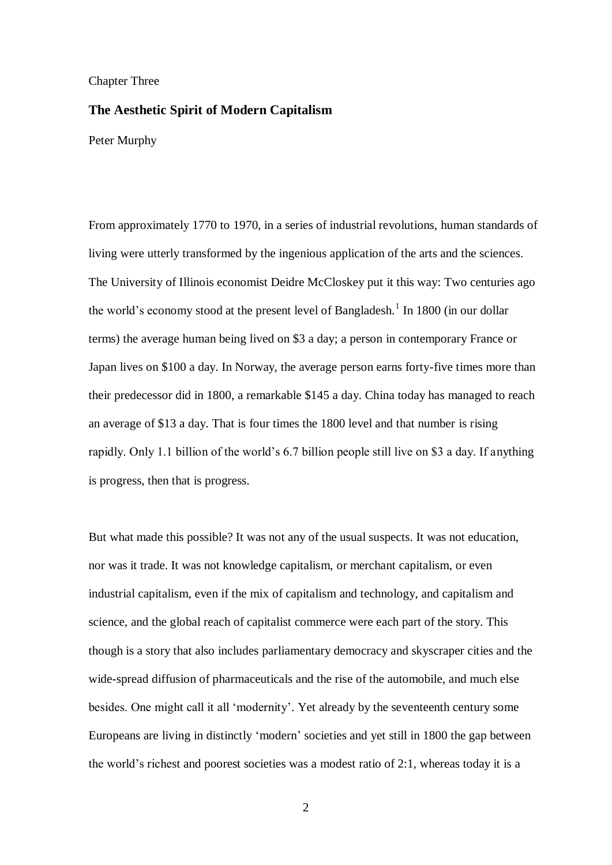## Chapter Three

## **The Aesthetic Spirit of Modern Capitalism**

Peter Murphy

From approximately 1770 to 1970, in a series of industrial revolutions, human standards of living were utterly transformed by the ingenious application of the arts and the sciences. The University of Illinois economist Deidre McCloskey put it this way: Two centuries ago the world's economy stood at the present level of Bangladesh.<sup>1</sup> In 1800 (in our dollar terms) the average human being lived on \$3 a day; a person in contemporary France or Japan lives on \$100 a day. In Norway, the average person earns forty-five times more than their predecessor did in 1800, a remarkable \$145 a day. China today has managed to reach an average of \$13 a day. That is four times the 1800 level and that number is rising rapidly. Only 1.1 billion of the world's 6.7 billion people still live on \$3 a day. If anything is progress, then that is progress.

But what made this possible? It was not any of the usual suspects. It was not education, nor was it trade. It was not knowledge capitalism, or merchant capitalism, or even industrial capitalism, even if the mix of capitalism and technology, and capitalism and science, and the global reach of capitalist commerce were each part of the story. This though is a story that also includes parliamentary democracy and skyscraper cities and the wide-spread diffusion of pharmaceuticals and the rise of the automobile, and much else besides. One might call it all 'modernity'. Yet already by the seventeenth century some Europeans are living in distinctly 'modern' societies and yet still in 1800 the gap between the world's richest and poorest societies was a modest ratio of 2:1, whereas today it is a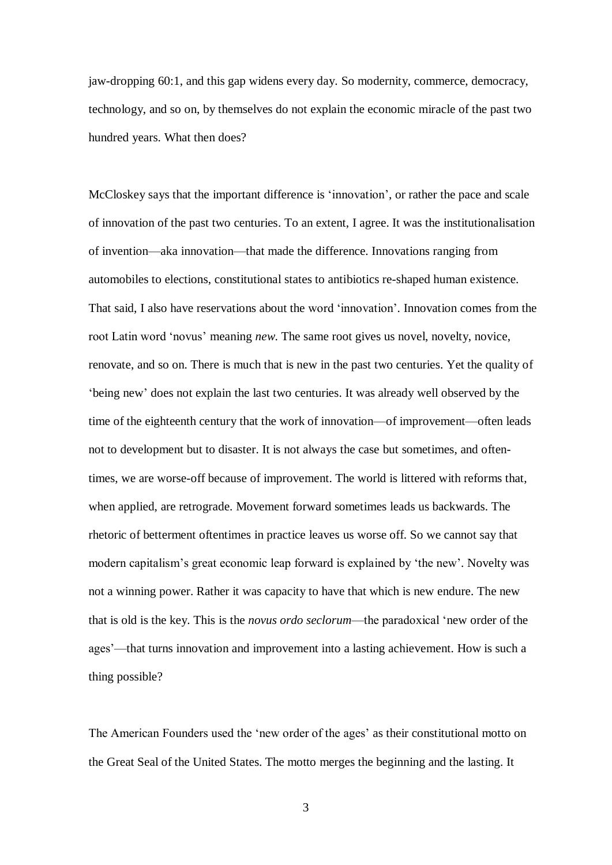jaw-dropping 60:1, and this gap widens every day. So modernity, commerce, democracy, technology, and so on, by themselves do not explain the economic miracle of the past two hundred years. What then does?

McCloskey says that the important difference is 'innovation', or rather the pace and scale of innovation of the past two centuries. To an extent, I agree. It was the institutionalisation of invention—aka innovation—that made the difference. Innovations ranging from automobiles to elections, constitutional states to antibiotics re-shaped human existence. That said, I also have reservations about the word 'innovation'. Innovation comes from the root Latin word 'novus' meaning *new*. The same root gives us novel, novelty, novice, renovate, and so on. There is much that is new in the past two centuries. Yet the quality of 'being new' does not explain the last two centuries. It was already well observed by the time of the eighteenth century that the work of innovation—of improvement—often leads not to development but to disaster. It is not always the case but sometimes, and oftentimes, we are worse-off because of improvement. The world is littered with reforms that, when applied, are retrograde. Movement forward sometimes leads us backwards. The rhetoric of betterment oftentimes in practice leaves us worse off. So we cannot say that modern capitalism's great economic leap forward is explained by 'the new'. Novelty was not a winning power. Rather it was capacity to have that which is new endure. The new that is old is the key. This is the *novus ordo seclorum*—the paradoxical 'new order of the ages'—that turns innovation and improvement into a lasting achievement. How is such a thing possible?

The American Founders used the 'new order of the ages' as their constitutional motto on the Great Seal of the United States. The motto merges the beginning and the lasting. It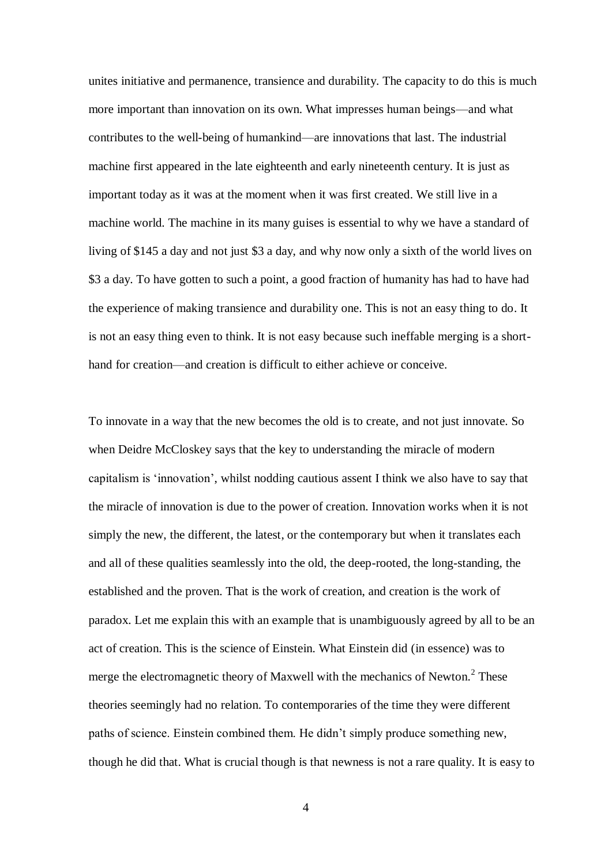unites initiative and permanence, transience and durability. The capacity to do this is much more important than innovation on its own. What impresses human beings—and what contributes to the well-being of humankind—are innovations that last. The industrial machine first appeared in the late eighteenth and early nineteenth century. It is just as important today as it was at the moment when it was first created. We still live in a machine world. The machine in its many guises is essential to why we have a standard of living of \$145 a day and not just \$3 a day, and why now only a sixth of the world lives on \$3 a day. To have gotten to such a point, a good fraction of humanity has had to have had the experience of making transience and durability one. This is not an easy thing to do. It is not an easy thing even to think. It is not easy because such ineffable merging is a shorthand for creation—and creation is difficult to either achieve or conceive.

To innovate in a way that the new becomes the old is to create, and not just innovate. So when Deidre McCloskey says that the key to understanding the miracle of modern capitalism is 'innovation', whilst nodding cautious assent I think we also have to say that the miracle of innovation is due to the power of creation. Innovation works when it is not simply the new, the different, the latest, or the contemporary but when it translates each and all of these qualities seamlessly into the old, the deep-rooted, the long-standing, the established and the proven. That is the work of creation, and creation is the work of paradox. Let me explain this with an example that is unambiguously agreed by all to be an act of creation. This is the science of Einstein. What Einstein did (in essence) was to merge the electromagnetic theory of Maxwell with the mechanics of Newton. $2$  These theories seemingly had no relation. To contemporaries of the time they were different paths of science. Einstein combined them. He didn't simply produce something new, though he did that. What is crucial though is that newness is not a rare quality. It is easy to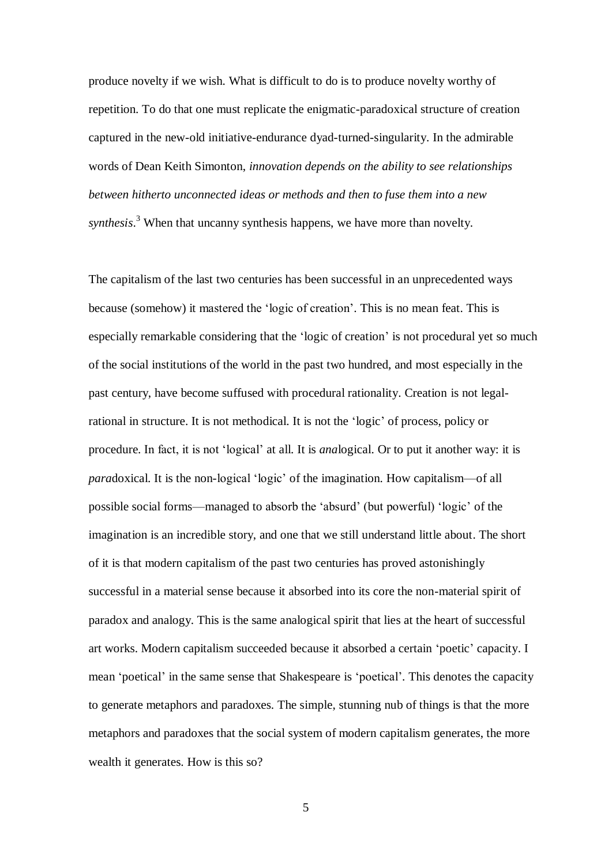produce novelty if we wish. What is difficult to do is to produce novelty worthy of repetition. To do that one must replicate the enigmatic-paradoxical structure of creation captured in the new-old initiative-endurance dyad-turned-singularity. In the admirable words of Dean Keith Simonton, *innovation depends on the ability to see relationships between hitherto unconnected ideas or methods and then to fuse them into a new synthesis*. <sup>3</sup> When that uncanny synthesis happens, we have more than novelty.

The capitalism of the last two centuries has been successful in an unprecedented ways because (somehow) it mastered the 'logic of creation'. This is no mean feat. This is especially remarkable considering that the 'logic of creation' is not procedural yet so much of the social institutions of the world in the past two hundred, and most especially in the past century, have become suffused with procedural rationality. Creation is not legalrational in structure. It is not methodical. It is not the 'logic' of process, policy or procedure. In fact, it is not 'logical' at all. It is *ana*logical. Or to put it another way: it is *para*doxical. It is the non-logical 'logic' of the imagination. How capitalism—of all possible social forms—managed to absorb the 'absurd' (but powerful) 'logic' of the imagination is an incredible story, and one that we still understand little about. The short of it is that modern capitalism of the past two centuries has proved astonishingly successful in a material sense because it absorbed into its core the non-material spirit of paradox and analogy. This is the same analogical spirit that lies at the heart of successful art works. Modern capitalism succeeded because it absorbed a certain 'poetic' capacity. I mean 'poetical' in the same sense that Shakespeare is 'poetical'. This denotes the capacity to generate metaphors and paradoxes. The simple, stunning nub of things is that the more metaphors and paradoxes that the social system of modern capitalism generates, the more wealth it generates. How is this so?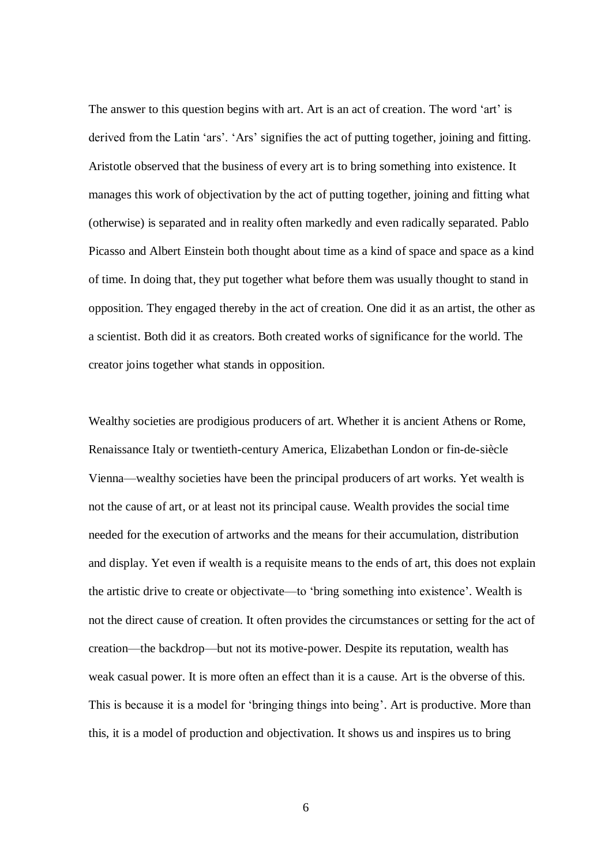The answer to this question begins with art. Art is an act of creation. The word 'art' is derived from the Latin 'ars'. 'Ars' signifies the act of putting together, joining and fitting. Aristotle observed that the business of every art is to bring something into existence. It manages this work of objectivation by the act of putting together, joining and fitting what (otherwise) is separated and in reality often markedly and even radically separated. Pablo Picasso and Albert Einstein both thought about time as a kind of space and space as a kind of time. In doing that, they put together what before them was usually thought to stand in opposition. They engaged thereby in the act of creation. One did it as an artist, the other as a scientist. Both did it as creators. Both created works of significance for the world. The creator joins together what stands in opposition.

Wealthy societies are prodigious producers of art. Whether it is ancient Athens or Rome, Renaissance Italy or twentieth-century America, Elizabethan London or fin-de-siècle Vienna—wealthy societies have been the principal producers of art works. Yet wealth is not the cause of art, or at least not its principal cause. Wealth provides the social time needed for the execution of artworks and the means for their accumulation, distribution and display. Yet even if wealth is a requisite means to the ends of art, this does not explain the artistic drive to create or objectivate—to 'bring something into existence'. Wealth is not the direct cause of creation. It often provides the circumstances or setting for the act of creation—the backdrop—but not its motive-power. Despite its reputation, wealth has weak casual power. It is more often an effect than it is a cause. Art is the obverse of this. This is because it is a model for 'bringing things into being'. Art is productive. More than this, it is a model of production and objectivation. It shows us and inspires us to bring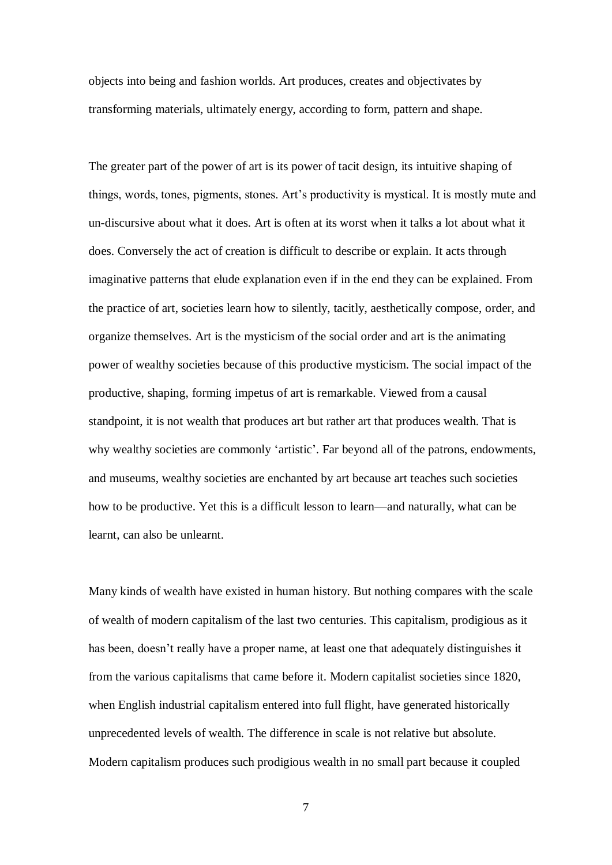objects into being and fashion worlds. Art produces, creates and objectivates by transforming materials, ultimately energy, according to form, pattern and shape.

The greater part of the power of art is its power of tacit design, its intuitive shaping of things, words, tones, pigments, stones. Art's productivity is mystical. It is mostly mute and un-discursive about what it does. Art is often at its worst when it talks a lot about what it does. Conversely the act of creation is difficult to describe or explain. It acts through imaginative patterns that elude explanation even if in the end they can be explained. From the practice of art, societies learn how to silently, tacitly, aesthetically compose, order, and organize themselves. Art is the mysticism of the social order and art is the animating power of wealthy societies because of this productive mysticism. The social impact of the productive, shaping, forming impetus of art is remarkable. Viewed from a causal standpoint, it is not wealth that produces art but rather art that produces wealth. That is why wealthy societies are commonly 'artistic'. Far beyond all of the patrons, endowments, and museums, wealthy societies are enchanted by art because art teaches such societies how to be productive. Yet this is a difficult lesson to learn—and naturally, what can be learnt, can also be unlearnt.

Many kinds of wealth have existed in human history. But nothing compares with the scale of wealth of modern capitalism of the last two centuries. This capitalism, prodigious as it has been, doesn't really have a proper name, at least one that adequately distinguishes it from the various capitalisms that came before it. Modern capitalist societies since 1820, when English industrial capitalism entered into full flight, have generated historically unprecedented levels of wealth. The difference in scale is not relative but absolute. Modern capitalism produces such prodigious wealth in no small part because it coupled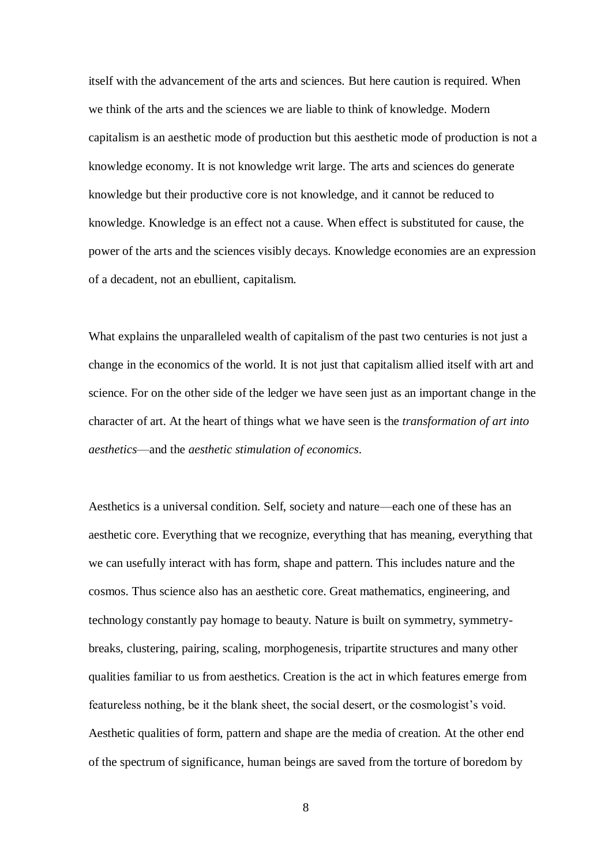itself with the advancement of the arts and sciences. But here caution is required. When we think of the arts and the sciences we are liable to think of knowledge. Modern capitalism is an aesthetic mode of production but this aesthetic mode of production is not a knowledge economy. It is not knowledge writ large. The arts and sciences do generate knowledge but their productive core is not knowledge, and it cannot be reduced to knowledge. Knowledge is an effect not a cause. When effect is substituted for cause, the power of the arts and the sciences visibly decays. Knowledge economies are an expression of a decadent, not an ebullient, capitalism.

What explains the unparalleled wealth of capitalism of the past two centuries is not just a change in the economics of the world. It is not just that capitalism allied itself with art and science. For on the other side of the ledger we have seen just as an important change in the character of art. At the heart of things what we have seen is the *transformation of art into aesthetics*—and the *aesthetic stimulation of economics*.

Aesthetics is a universal condition. Self, society and nature—each one of these has an aesthetic core. Everything that we recognize, everything that has meaning, everything that we can usefully interact with has form, shape and pattern. This includes nature and the cosmos. Thus science also has an aesthetic core. Great mathematics, engineering, and technology constantly pay homage to beauty. Nature is built on symmetry, symmetrybreaks, clustering, pairing, scaling, morphogenesis, tripartite structures and many other qualities familiar to us from aesthetics. Creation is the act in which features emerge from featureless nothing, be it the blank sheet, the social desert, or the cosmologist's void. Aesthetic qualities of form, pattern and shape are the media of creation. At the other end of the spectrum of significance, human beings are saved from the torture of boredom by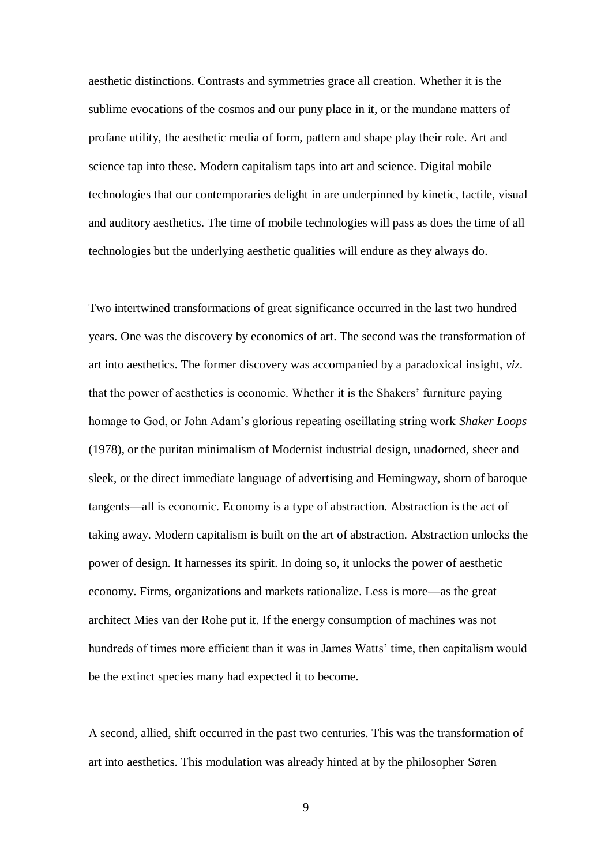aesthetic distinctions. Contrasts and symmetries grace all creation. Whether it is the sublime evocations of the cosmos and our puny place in it, or the mundane matters of profane utility, the aesthetic media of form, pattern and shape play their role. Art and science tap into these. Modern capitalism taps into art and science. Digital mobile technologies that our contemporaries delight in are underpinned by kinetic, tactile, visual and auditory aesthetics. The time of mobile technologies will pass as does the time of all technologies but the underlying aesthetic qualities will endure as they always do.

Two intertwined transformations of great significance occurred in the last two hundred years. One was the discovery by economics of art. The second was the transformation of art into aesthetics. The former discovery was accompanied by a paradoxical insight, *viz*. that the power of aesthetics is economic. Whether it is the Shakers' furniture paying homage to God, or John Adam's glorious repeating oscillating string work *Shaker Loops* (1978), or the puritan minimalism of Modernist industrial design, unadorned, sheer and sleek, or the direct immediate language of advertising and Hemingway, shorn of baroque tangents—all is economic. Economy is a type of abstraction. Abstraction is the act of taking away. Modern capitalism is built on the art of abstraction. Abstraction unlocks the power of design. It harnesses its spirit. In doing so, it unlocks the power of aesthetic economy. Firms, organizations and markets rationalize. Less is more—as the great architect Mies van der Rohe put it. If the energy consumption of machines was not hundreds of times more efficient than it was in James Watts' time, then capitalism would be the extinct species many had expected it to become.

A second, allied, shift occurred in the past two centuries. This was the transformation of art into aesthetics. This modulation was already hinted at by the philosopher Søren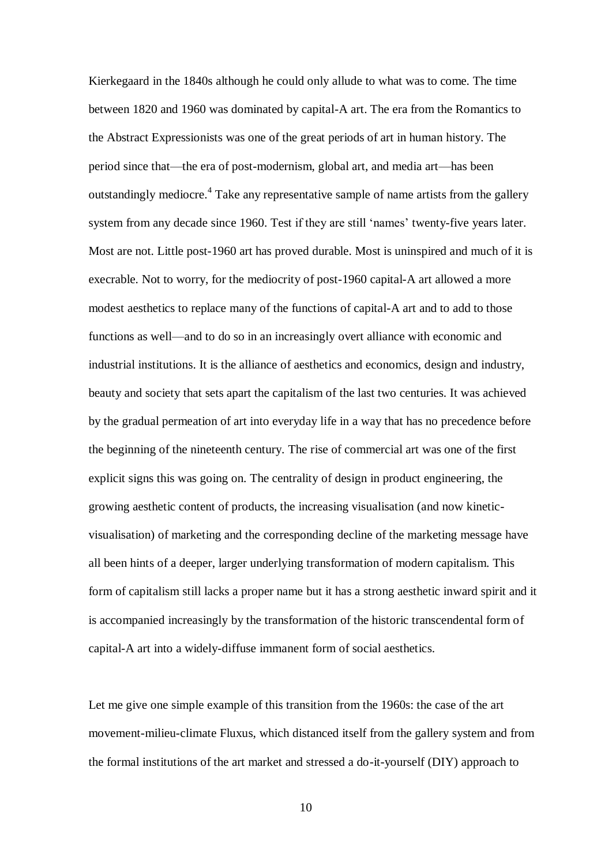Kierkegaard in the 1840s although he could only allude to what was to come. The time between 1820 and 1960 was dominated by capital-A art. The era from the Romantics to the Abstract Expressionists was one of the great periods of art in human history. The period since that—the era of post-modernism, global art, and media art—has been outstandingly mediocre.<sup>4</sup> Take any representative sample of name artists from the gallery system from any decade since 1960. Test if they are still 'names' twenty-five years later. Most are not. Little post-1960 art has proved durable. Most is uninspired and much of it is execrable. Not to worry, for the mediocrity of post-1960 capital-A art allowed a more modest aesthetics to replace many of the functions of capital-A art and to add to those functions as well—and to do so in an increasingly overt alliance with economic and industrial institutions. It is the alliance of aesthetics and economics, design and industry, beauty and society that sets apart the capitalism of the last two centuries. It was achieved by the gradual permeation of art into everyday life in a way that has no precedence before the beginning of the nineteenth century. The rise of commercial art was one of the first explicit signs this was going on. The centrality of design in product engineering, the growing aesthetic content of products, the increasing visualisation (and now kineticvisualisation) of marketing and the corresponding decline of the marketing message have all been hints of a deeper, larger underlying transformation of modern capitalism. This form of capitalism still lacks a proper name but it has a strong aesthetic inward spirit and it is accompanied increasingly by the transformation of the historic transcendental form of capital-A art into a widely-diffuse immanent form of social aesthetics.

Let me give one simple example of this transition from the 1960s: the case of the art movement-milieu-climate Fluxus, which distanced itself from the gallery system and from the formal institutions of the art market and stressed a do-it-yourself (DIY) approach to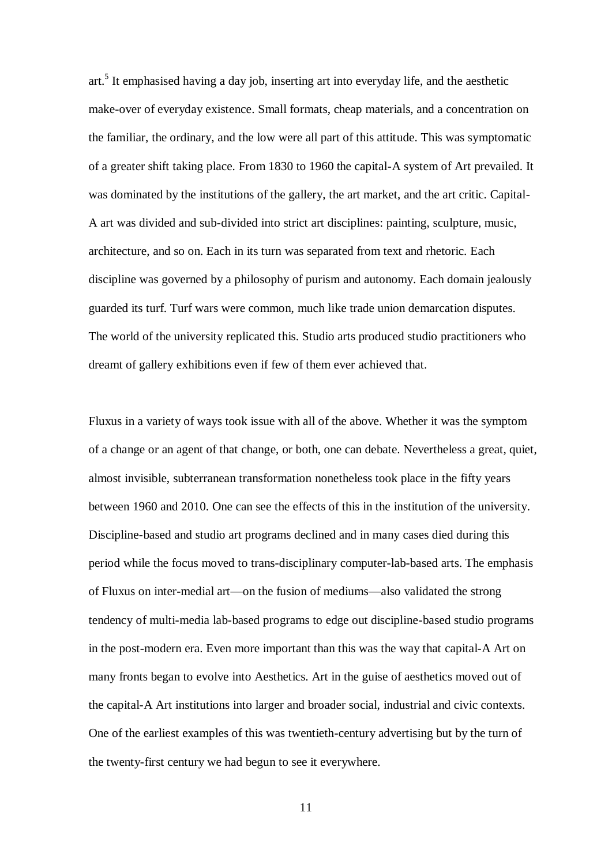art.<sup>5</sup> It emphasised having a day job, inserting art into everyday life, and the aesthetic make-over of everyday existence. Small formats, cheap materials, and a concentration on the familiar, the ordinary, and the low were all part of this attitude. This was symptomatic of a greater shift taking place. From 1830 to 1960 the capital-A system of Art prevailed. It was dominated by the institutions of the gallery, the art market, and the art critic. Capital-A art was divided and sub-divided into strict art disciplines: painting, sculpture, music, architecture, and so on. Each in its turn was separated from text and rhetoric. Each discipline was governed by a philosophy of purism and autonomy. Each domain jealously guarded its turf. Turf wars were common, much like trade union demarcation disputes. The world of the university replicated this. Studio arts produced studio practitioners who dreamt of gallery exhibitions even if few of them ever achieved that.

Fluxus in a variety of ways took issue with all of the above. Whether it was the symptom of a change or an agent of that change, or both, one can debate. Nevertheless a great, quiet, almost invisible, subterranean transformation nonetheless took place in the fifty years between 1960 and 2010. One can see the effects of this in the institution of the university. Discipline-based and studio art programs declined and in many cases died during this period while the focus moved to trans-disciplinary computer-lab-based arts. The emphasis of Fluxus on inter-medial art—on the fusion of mediums—also validated the strong tendency of multi-media lab-based programs to edge out discipline-based studio programs in the post-modern era. Even more important than this was the way that capital-A Art on many fronts began to evolve into Aesthetics. Art in the guise of aesthetics moved out of the capital-A Art institutions into larger and broader social, industrial and civic contexts. One of the earliest examples of this was twentieth-century advertising but by the turn of the twenty-first century we had begun to see it everywhere.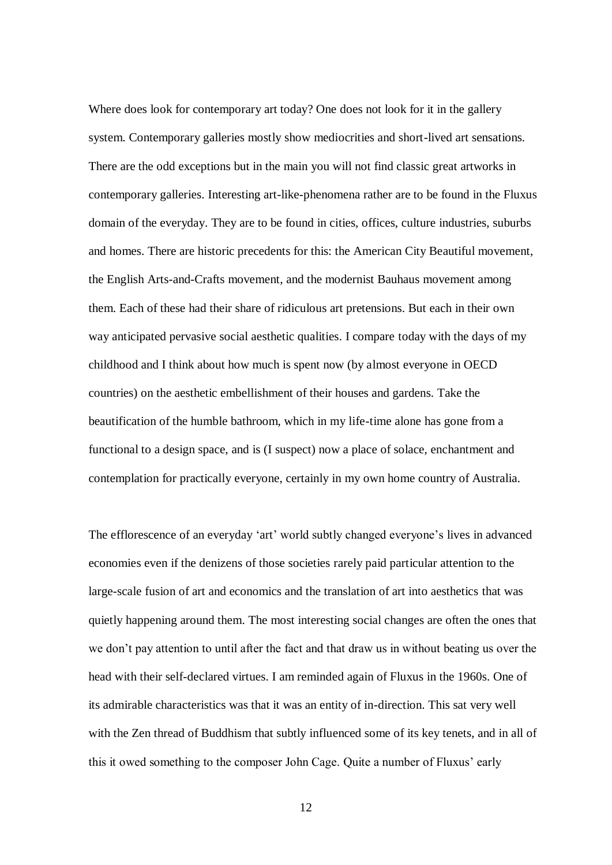Where does look for contemporary art today? One does not look for it in the gallery system. Contemporary galleries mostly show mediocrities and short-lived art sensations. There are the odd exceptions but in the main you will not find classic great artworks in contemporary galleries. Interesting art-like-phenomena rather are to be found in the Fluxus domain of the everyday. They are to be found in cities, offices, culture industries, suburbs and homes. There are historic precedents for this: the American City Beautiful movement, the English Arts-and-Crafts movement, and the modernist Bauhaus movement among them. Each of these had their share of ridiculous art pretensions. But each in their own way anticipated pervasive social aesthetic qualities. I compare today with the days of my childhood and I think about how much is spent now (by almost everyone in OECD countries) on the aesthetic embellishment of their houses and gardens. Take the beautification of the humble bathroom, which in my life-time alone has gone from a functional to a design space, and is (I suspect) now a place of solace, enchantment and contemplation for practically everyone, certainly in my own home country of Australia.

The efflorescence of an everyday 'art' world subtly changed everyone's lives in advanced economies even if the denizens of those societies rarely paid particular attention to the large-scale fusion of art and economics and the translation of art into aesthetics that was quietly happening around them. The most interesting social changes are often the ones that we don't pay attention to until after the fact and that draw us in without beating us over the head with their self-declared virtues. I am reminded again of Fluxus in the 1960s. One of its admirable characteristics was that it was an entity of in-direction. This sat very well with the Zen thread of Buddhism that subtly influenced some of its key tenets, and in all of this it owed something to the composer John Cage. Quite a number of Fluxus' early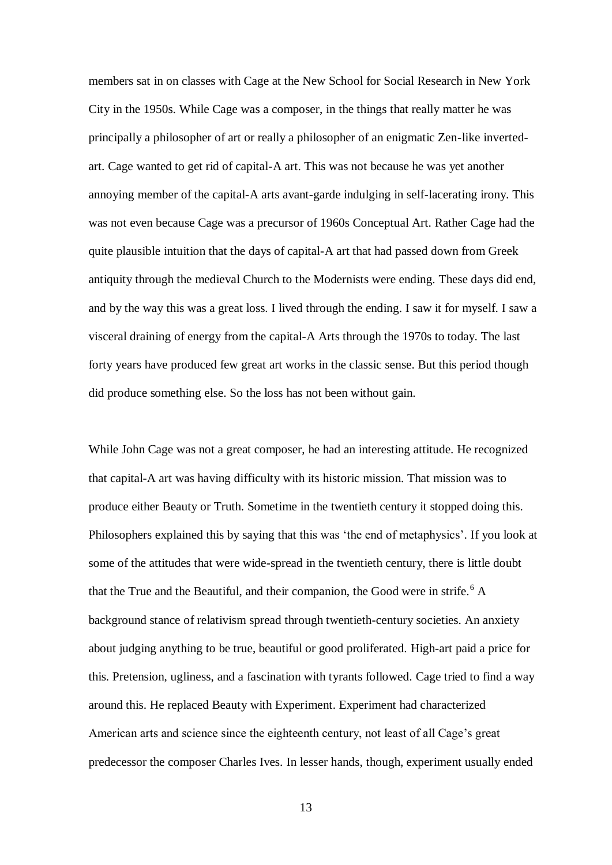members sat in on classes with Cage at the New School for Social Research in New York City in the 1950s. While Cage was a composer, in the things that really matter he was principally a philosopher of art or really a philosopher of an enigmatic Zen-like invertedart. Cage wanted to get rid of capital-A art. This was not because he was yet another annoying member of the capital-A arts avant-garde indulging in self-lacerating irony. This was not even because Cage was a precursor of 1960s Conceptual Art. Rather Cage had the quite plausible intuition that the days of capital-A art that had passed down from Greek antiquity through the medieval Church to the Modernists were ending. These days did end, and by the way this was a great loss. I lived through the ending. I saw it for myself. I saw a visceral draining of energy from the capital-A Arts through the 1970s to today. The last forty years have produced few great art works in the classic sense. But this period though did produce something else. So the loss has not been without gain.

While John Cage was not a great composer, he had an interesting attitude. He recognized that capital-A art was having difficulty with its historic mission. That mission was to produce either Beauty or Truth. Sometime in the twentieth century it stopped doing this. Philosophers explained this by saying that this was 'the end of metaphysics'. If you look at some of the attitudes that were wide-spread in the twentieth century, there is little doubt that the True and the Beautiful, and their companion, the Good were in strife.<sup>6</sup> A background stance of relativism spread through twentieth-century societies. An anxiety about judging anything to be true, beautiful or good proliferated. High-art paid a price for this. Pretension, ugliness, and a fascination with tyrants followed. Cage tried to find a way around this. He replaced Beauty with Experiment. Experiment had characterized American arts and science since the eighteenth century, not least of all Cage's great predecessor the composer Charles Ives. In lesser hands, though, experiment usually ended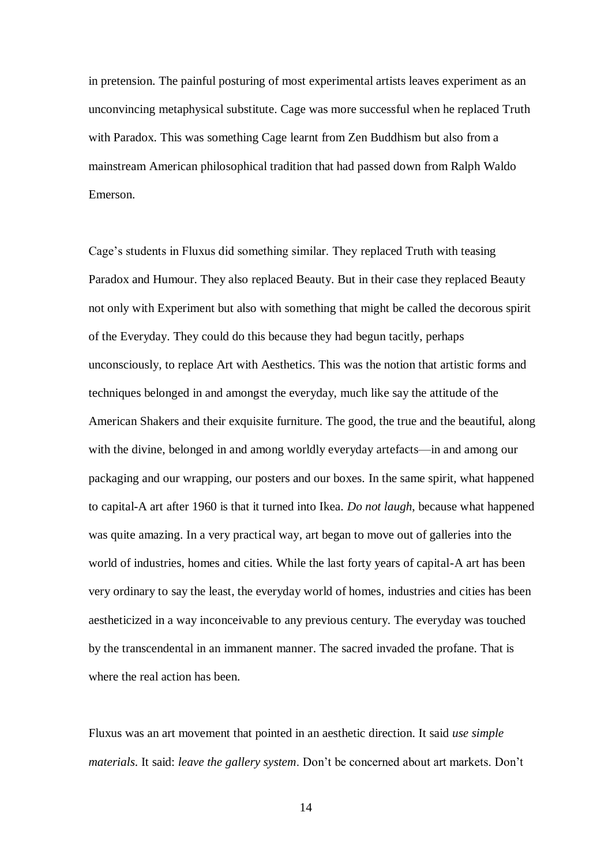in pretension. The painful posturing of most experimental artists leaves experiment as an unconvincing metaphysical substitute. Cage was more successful when he replaced Truth with Paradox. This was something Cage learnt from Zen Buddhism but also from a mainstream American philosophical tradition that had passed down from Ralph Waldo Emerson.

Cage's students in Fluxus did something similar. They replaced Truth with teasing Paradox and Humour. They also replaced Beauty. But in their case they replaced Beauty not only with Experiment but also with something that might be called the decorous spirit of the Everyday. They could do this because they had begun tacitly, perhaps unconsciously, to replace Art with Aesthetics. This was the notion that artistic forms and techniques belonged in and amongst the everyday, much like say the attitude of the American Shakers and their exquisite furniture. The good, the true and the beautiful, along with the divine, belonged in and among worldly everyday artefacts—in and among our packaging and our wrapping, our posters and our boxes. In the same spirit, what happened to capital-A art after 1960 is that it turned into Ikea. *Do not laugh*, because what happened was quite amazing. In a very practical way, art began to move out of galleries into the world of industries, homes and cities. While the last forty years of capital-A art has been very ordinary to say the least, the everyday world of homes, industries and cities has been aestheticized in a way inconceivable to any previous century. The everyday was touched by the transcendental in an immanent manner. The sacred invaded the profane. That is where the real action has been.

Fluxus was an art movement that pointed in an aesthetic direction. It said *use simple materials*. It said: *leave the gallery system*. Don't be concerned about art markets. Don't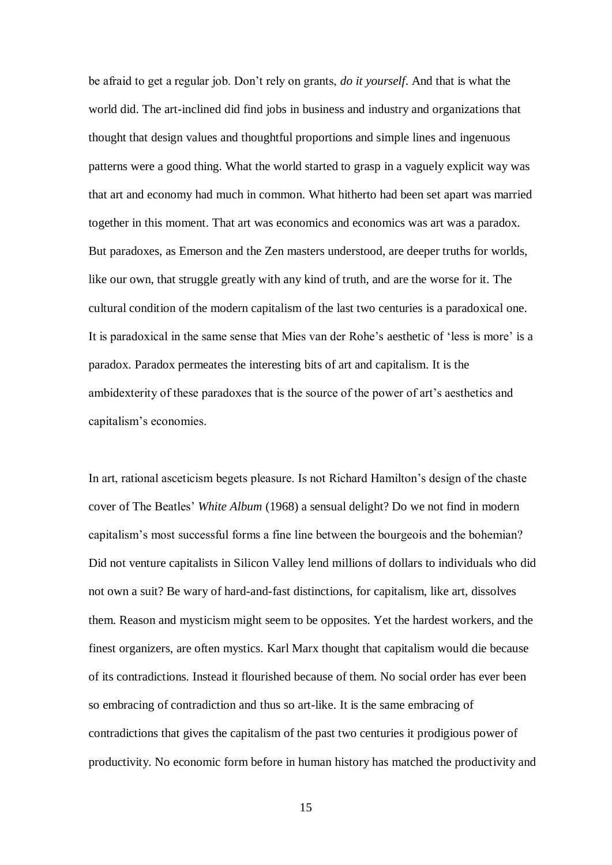be afraid to get a regular job. Don't rely on grants, *do it yourself*. And that is what the world did. The art-inclined did find jobs in business and industry and organizations that thought that design values and thoughtful proportions and simple lines and ingenuous patterns were a good thing. What the world started to grasp in a vaguely explicit way was that art and economy had much in common. What hitherto had been set apart was married together in this moment. That art was economics and economics was art was a paradox. But paradoxes, as Emerson and the Zen masters understood, are deeper truths for worlds, like our own, that struggle greatly with any kind of truth, and are the worse for it. The cultural condition of the modern capitalism of the last two centuries is a paradoxical one. It is paradoxical in the same sense that Mies van der Rohe's aesthetic of 'less is more' is a paradox. Paradox permeates the interesting bits of art and capitalism. It is the ambidexterity of these paradoxes that is the source of the power of art's aesthetics and capitalism's economies.

In art, rational asceticism begets pleasure. Is not Richard Hamilton's design of the chaste cover of The Beatles' *White Album* (1968) a sensual delight? Do we not find in modern capitalism's most successful forms a fine line between the bourgeois and the bohemian? Did not venture capitalists in Silicon Valley lend millions of dollars to individuals who did not own a suit? Be wary of hard-and-fast distinctions, for capitalism, like art, dissolves them. Reason and mysticism might seem to be opposites. Yet the hardest workers, and the finest organizers, are often mystics. Karl Marx thought that capitalism would die because of its contradictions. Instead it flourished because of them. No social order has ever been so embracing of contradiction and thus so art-like. It is the same embracing of contradictions that gives the capitalism of the past two centuries it prodigious power of productivity. No economic form before in human history has matched the productivity and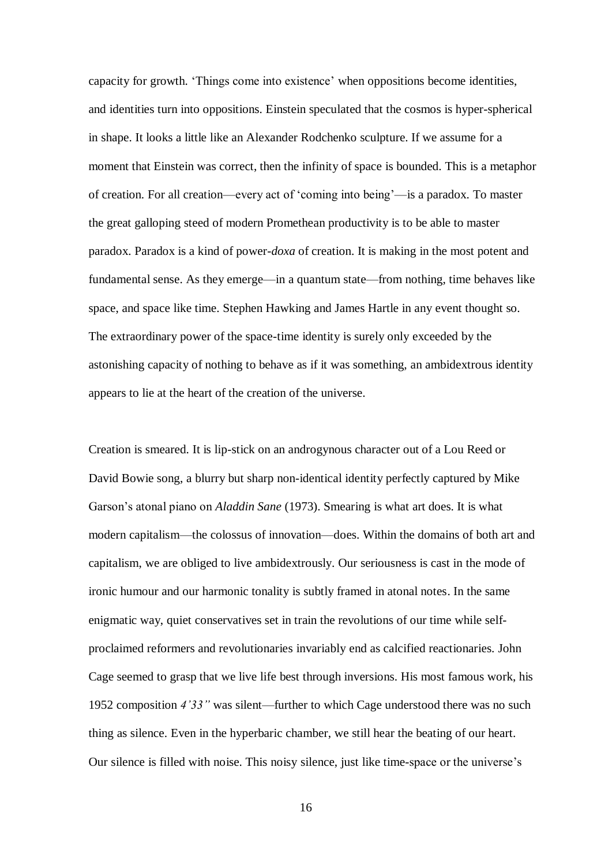capacity for growth. 'Things come into existence' when oppositions become identities, and identities turn into oppositions. Einstein speculated that the cosmos is hyper-spherical in shape. It looks a little like an Alexander Rodchenko sculpture. If we assume for a moment that Einstein was correct, then the infinity of space is bounded. This is a metaphor of creation. For all creation—every act of 'coming into being'—is a paradox. To master the great galloping steed of modern Promethean productivity is to be able to master paradox. Paradox is a kind of power-*doxa* of creation. It is making in the most potent and fundamental sense. As they emerge—in a quantum state—from nothing, time behaves like space, and space like time. Stephen Hawking and James Hartle in any event thought so. The extraordinary power of the space-time identity is surely only exceeded by the astonishing capacity of nothing to behave as if it was something, an ambidextrous identity appears to lie at the heart of the creation of the universe.

Creation is smeared. It is lip-stick on an androgynous character out of a Lou Reed or David Bowie song, a blurry but sharp non-identical identity perfectly captured by Mike Garson's atonal piano on *Aladdin Sane* (1973). Smearing is what art does. It is what modern capitalism—the colossus of innovation—does. Within the domains of both art and capitalism, we are obliged to live ambidextrously. Our seriousness is cast in the mode of ironic humour and our harmonic tonality is subtly framed in atonal notes. In the same enigmatic way, quiet conservatives set in train the revolutions of our time while selfproclaimed reformers and revolutionaries invariably end as calcified reactionaries. John Cage seemed to grasp that we live life best through inversions. His most famous work, his 1952 composition *4'33"* was silent—further to which Cage understood there was no such thing as silence. Even in the hyperbaric chamber, we still hear the beating of our heart. Our silence is filled with noise. This noisy silence, just like time-space or the universe's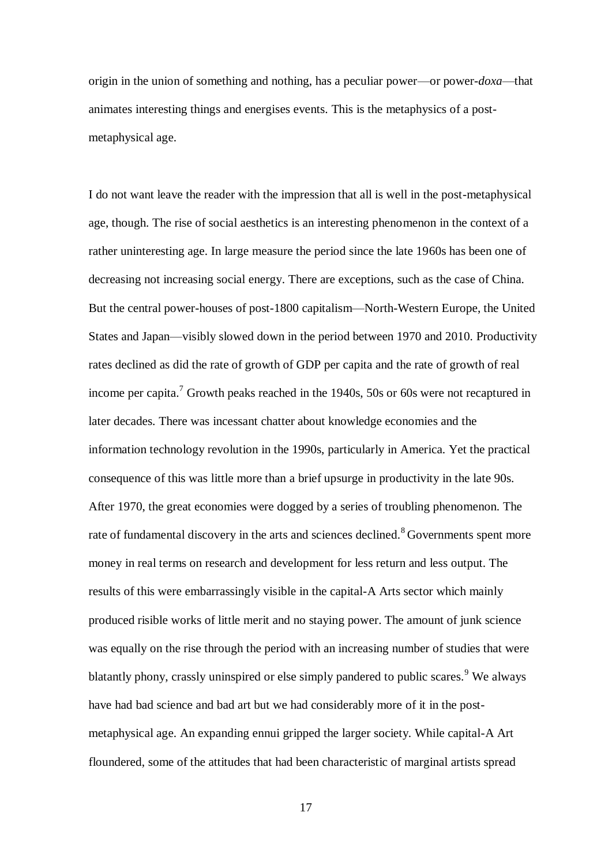origin in the union of something and nothing, has a peculiar power—or power-*doxa*—that animates interesting things and energises events. This is the metaphysics of a postmetaphysical age.

I do not want leave the reader with the impression that all is well in the post-metaphysical age, though. The rise of social aesthetics is an interesting phenomenon in the context of a rather uninteresting age. In large measure the period since the late 1960s has been one of decreasing not increasing social energy. There are exceptions, such as the case of China. But the central power-houses of post-1800 capitalism—North-Western Europe, the United States and Japan—visibly slowed down in the period between 1970 and 2010. Productivity rates declined as did the rate of growth of GDP per capita and the rate of growth of real income per capita.<sup>7</sup> Growth peaks reached in the 1940s, 50s or 60s were not recaptured in later decades. There was incessant chatter about knowledge economies and the information technology revolution in the 1990s, particularly in America. Yet the practical consequence of this was little more than a brief upsurge in productivity in the late 90s. After 1970, the great economies were dogged by a series of troubling phenomenon. The rate of fundamental discovery in the arts and sciences declined.<sup>8</sup> Governments spent more money in real terms on research and development for less return and less output. The results of this were embarrassingly visible in the capital-A Arts sector which mainly produced risible works of little merit and no staying power. The amount of junk science was equally on the rise through the period with an increasing number of studies that were blatantly phony, crassly uninspired or else simply pandered to public scares.<sup>9</sup> We always have had bad science and bad art but we had considerably more of it in the postmetaphysical age. An expanding ennui gripped the larger society. While capital-A Art floundered, some of the attitudes that had been characteristic of marginal artists spread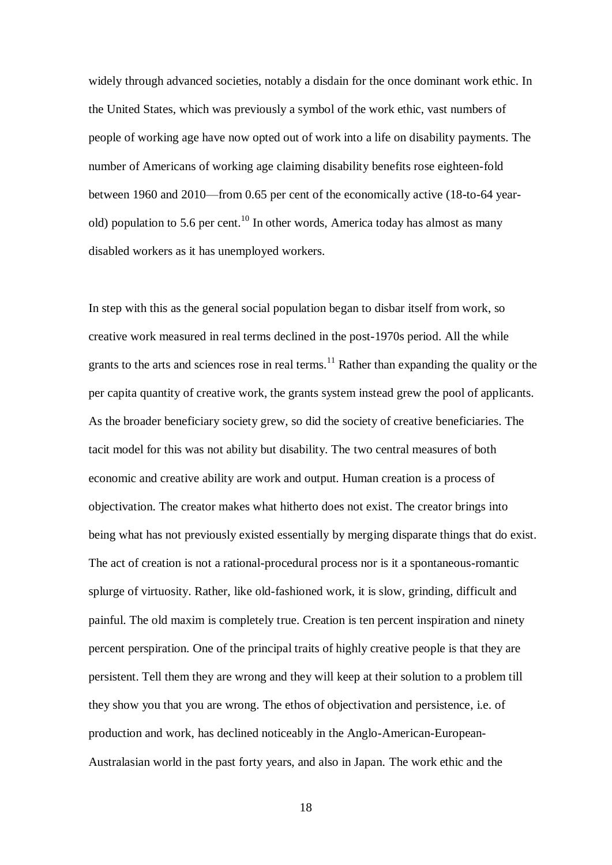widely through advanced societies, notably a disdain for the once dominant work ethic. In the United States, which was previously a symbol of the work ethic, vast numbers of people of working age have now opted out of work into a life on disability payments. The number of Americans of working age claiming disability benefits rose eighteen-fold between 1960 and 2010—from 0.65 per cent of the economically active (18-to-64 yearold) population to 5.6 per cent.<sup>10</sup> In other words, America today has almost as many disabled workers as it has unemployed workers.

In step with this as the general social population began to disbar itself from work, so creative work measured in real terms declined in the post-1970s period. All the while grants to the arts and sciences rose in real terms.<sup>11</sup> Rather than expanding the quality or the per capita quantity of creative work, the grants system instead grew the pool of applicants. As the broader beneficiary society grew, so did the society of creative beneficiaries. The tacit model for this was not ability but disability. The two central measures of both economic and creative ability are work and output. Human creation is a process of objectivation. The creator makes what hitherto does not exist. The creator brings into being what has not previously existed essentially by merging disparate things that do exist. The act of creation is not a rational-procedural process nor is it a spontaneous-romantic splurge of virtuosity. Rather, like old-fashioned work, it is slow, grinding, difficult and painful. The old maxim is completely true. Creation is ten percent inspiration and ninety percent perspiration. One of the principal traits of highly creative people is that they are persistent. Tell them they are wrong and they will keep at their solution to a problem till they show you that you are wrong. The ethos of objectivation and persistence, i.e. of production and work, has declined noticeably in the Anglo-American-European-Australasian world in the past forty years, and also in Japan. The work ethic and the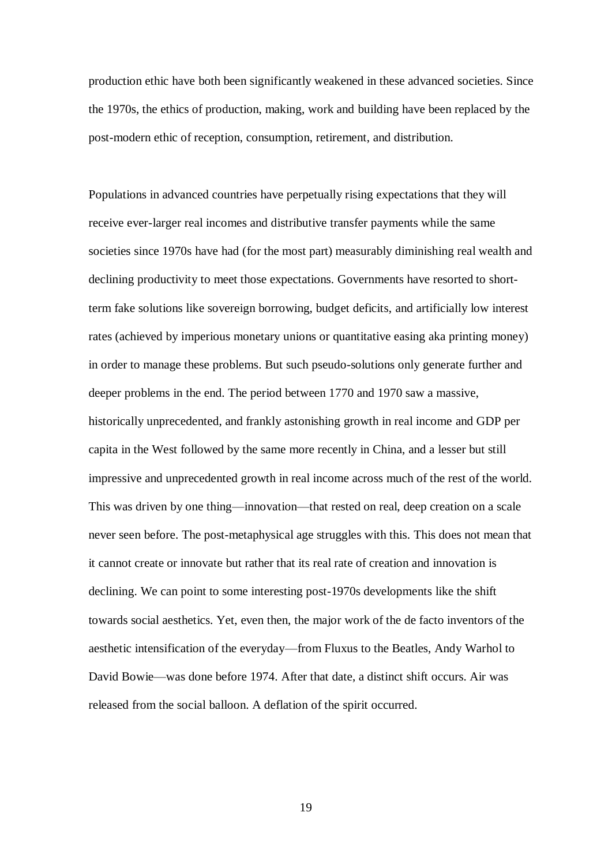production ethic have both been significantly weakened in these advanced societies. Since the 1970s, the ethics of production, making, work and building have been replaced by the post-modern ethic of reception, consumption, retirement, and distribution.

Populations in advanced countries have perpetually rising expectations that they will receive ever-larger real incomes and distributive transfer payments while the same societies since 1970s have had (for the most part) measurably diminishing real wealth and declining productivity to meet those expectations. Governments have resorted to shortterm fake solutions like sovereign borrowing, budget deficits, and artificially low interest rates (achieved by imperious monetary unions or quantitative easing aka printing money) in order to manage these problems. But such pseudo-solutions only generate further and deeper problems in the end. The period between 1770 and 1970 saw a massive, historically unprecedented, and frankly astonishing growth in real income and GDP per capita in the West followed by the same more recently in China, and a lesser but still impressive and unprecedented growth in real income across much of the rest of the world. This was driven by one thing—innovation—that rested on real, deep creation on a scale never seen before. The post-metaphysical age struggles with this. This does not mean that it cannot create or innovate but rather that its real rate of creation and innovation is declining. We can point to some interesting post-1970s developments like the shift towards social aesthetics. Yet, even then, the major work of the de facto inventors of the aesthetic intensification of the everyday—from Fluxus to the Beatles, Andy Warhol to David Bowie—was done before 1974. After that date, a distinct shift occurs. Air was released from the social balloon. A deflation of the spirit occurred.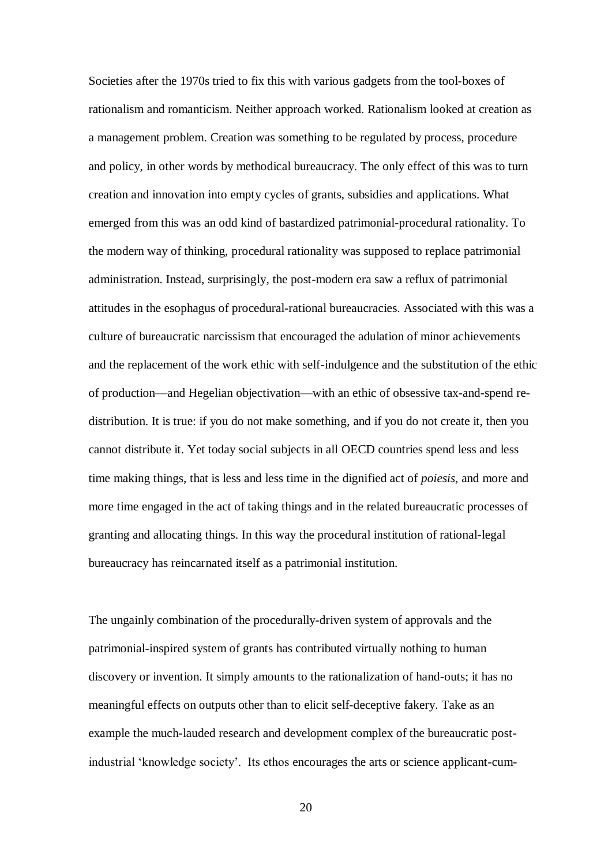Societies after the 1970s tried to fix this with various gadgets from the tool-boxes of rationalism and romanticism. Neither approach worked. Rationalism looked at creation as a management problem. Creation was something to be regulated by process, procedure and policy, in other words by methodical bureaucracy. The only effect of this was to turn creation and innovation into empty cycles of grants, subsidies and applications. What emerged from this was an odd kind of bastardized patrimonial-procedural rationality. To the modern way of thinking, procedural rationality was supposed to replace patrimonial administration. Instead, surprisingly, the post-modern era saw a reflux of patrimonial attitudes in the esophagus of procedural-rational bureaucracies. Associated with this was a culture of bureaucratic narcissism that encouraged the adulation of minor achievements and the replacement of the work ethic with self-indulgence and the substitution of the ethic of production—and Hegelian objectivation—with an ethic of obsessive tax-and-spend redistribution. It is true: if you do not make something, and if you do not create it, then you cannot distribute it. Yet today social subjects in all OECD countries spend less and less time making things, that is less and less time in the dignified act of *poiesis*, and more and more time engaged in the act of taking things and in the related bureaucratic processes of granting and allocating things. In this way the procedural institution of rational-legal bureaucracy has reincarnated itself as a patrimonial institution.

The ungainly combination of the procedurally-driven system of approvals and the patrimonial-inspired system of grants has contributed virtually nothing to human discovery or invention. It simply amounts to the rationalization of hand-outs; it has no meaningful effects on outputs other than to elicit self-deceptive fakery. Take as an example the much-lauded research and development complex of the bureaucratic postindustrial 'knowledge society'. Its ethos encourages the arts or science applicant-cum-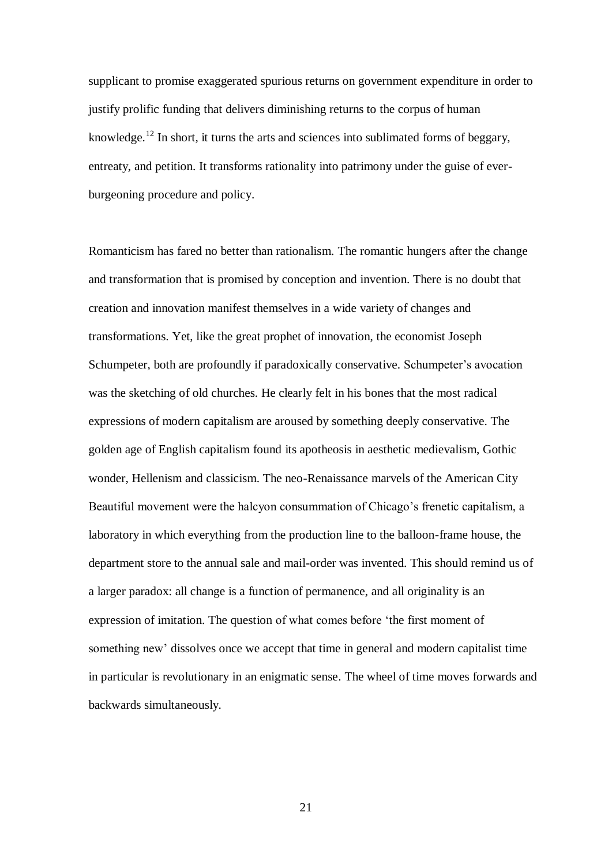supplicant to promise exaggerated spurious returns on government expenditure in order to justify prolific funding that delivers diminishing returns to the corpus of human knowledge.<sup>12</sup> In short, it turns the arts and sciences into sublimated forms of beggary, entreaty, and petition. It transforms rationality into patrimony under the guise of everburgeoning procedure and policy.

Romanticism has fared no better than rationalism. The romantic hungers after the change and transformation that is promised by conception and invention. There is no doubt that creation and innovation manifest themselves in a wide variety of changes and transformations. Yet, like the great prophet of innovation, the economist Joseph Schumpeter, both are profoundly if paradoxically conservative. Schumpeter's avocation was the sketching of old churches. He clearly felt in his bones that the most radical expressions of modern capitalism are aroused by something deeply conservative. The golden age of English capitalism found its apotheosis in aesthetic medievalism, Gothic wonder, Hellenism and classicism. The neo-Renaissance marvels of the American City Beautiful movement were the halcyon consummation of Chicago's frenetic capitalism, a laboratory in which everything from the production line to the balloon-frame house, the department store to the annual sale and mail-order was invented. This should remind us of a larger paradox: all change is a function of permanence, and all originality is an expression of imitation. The question of what comes before 'the first moment of something new' dissolves once we accept that time in general and modern capitalist time in particular is revolutionary in an enigmatic sense. The wheel of time moves forwards and backwards simultaneously.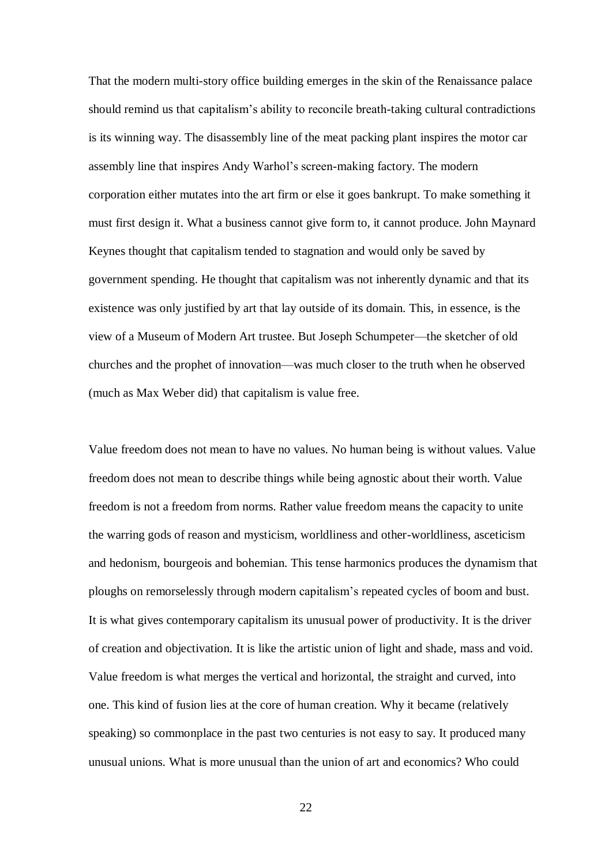That the modern multi-story office building emerges in the skin of the Renaissance palace should remind us that capitalism's ability to reconcile breath-taking cultural contradictions is its winning way. The disassembly line of the meat packing plant inspires the motor car assembly line that inspires Andy Warhol's screen-making factory. The modern corporation either mutates into the art firm or else it goes bankrupt. To make something it must first design it. What a business cannot give form to, it cannot produce. John Maynard Keynes thought that capitalism tended to stagnation and would only be saved by government spending. He thought that capitalism was not inherently dynamic and that its existence was only justified by art that lay outside of its domain. This, in essence, is the view of a Museum of Modern Art trustee. But Joseph Schumpeter—the sketcher of old churches and the prophet of innovation—was much closer to the truth when he observed (much as Max Weber did) that capitalism is value free.

Value freedom does not mean to have no values. No human being is without values. Value freedom does not mean to describe things while being agnostic about their worth. Value freedom is not a freedom from norms. Rather value freedom means the capacity to unite the warring gods of reason and mysticism, worldliness and other-worldliness, asceticism and hedonism, bourgeois and bohemian. This tense harmonics produces the dynamism that ploughs on remorselessly through modern capitalism's repeated cycles of boom and bust. It is what gives contemporary capitalism its unusual power of productivity. It is the driver of creation and objectivation. It is like the artistic union of light and shade, mass and void. Value freedom is what merges the vertical and horizontal, the straight and curved, into one. This kind of fusion lies at the core of human creation. Why it became (relatively speaking) so commonplace in the past two centuries is not easy to say. It produced many unusual unions. What is more unusual than the union of art and economics? Who could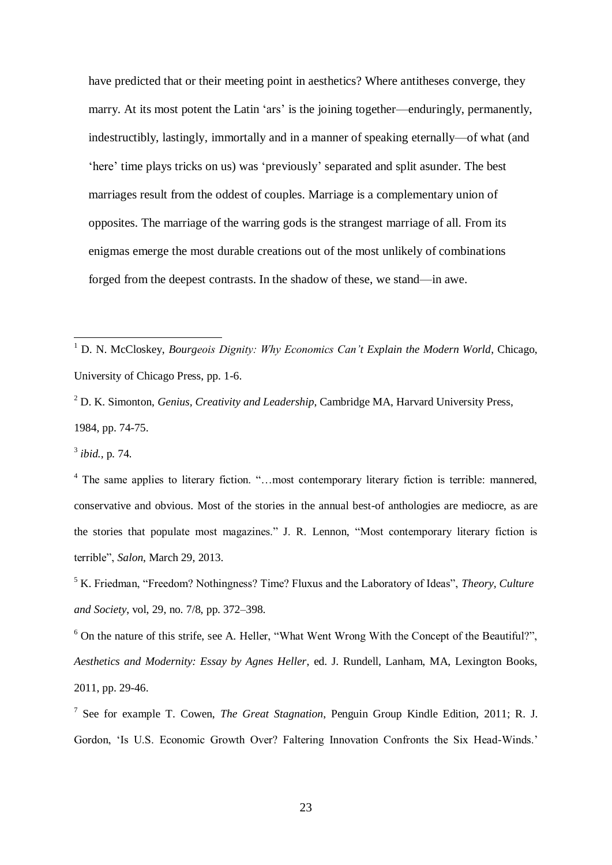have predicted that or their meeting point in aesthetics? Where antitheses converge, they marry. At its most potent the Latin 'ars' is the joining together—enduringly, permanently, indestructibly, lastingly, immortally and in a manner of speaking eternally—of what (and 'here' time plays tricks on us) was 'previously' separated and split asunder. The best marriages result from the oddest of couples. Marriage is a complementary union of opposites. The marriage of the warring gods is the strangest marriage of all. From its enigmas emerge the most durable creations out of the most unlikely of combinations forged from the deepest contrasts. In the shadow of these, we stand—in awe.

3 *ibid.,* p. 74.

<u>.</u>

<sup>4</sup> The same applies to literary fiction. "…most contemporary literary fiction is terrible: mannered, conservative and obvious. Most of the stories in the annual best-of anthologies are mediocre, as are the stories that populate most magazines." J. R. Lennon, "Most contemporary literary fiction is terrible", *Salon*, March 29, 2013.

 $6$  On the nature of this strife, see A. Heller, "What Went Wrong With the Concept of the Beautiful?". *Aesthetics and Modernity: Essay by Agnes Heller*, ed. J. Rundell, Lanham, MA, Lexington Books, 2011, pp. 29-46.

<sup>&</sup>lt;sup>1</sup> D. N. McCloskey, *Bourgeois Dignity: Why Economics Can't Explain the Modern World*, Chicago, University of Chicago Press, pp. 1-6.

<sup>2</sup> D. K. Simonton, *Genius, Creativity and Leadership*, Cambridge MA, Harvard University Press, 1984, pp. 74-75.

<sup>5</sup> K. Friedman, "Freedom? Nothingness? Time? Fluxus and the Laboratory of Ideas", *Theory, Culture and Society*, vol, 29, no. 7/8, pp. 372–398.

<sup>7</sup> See for example T. Cowen, *The Great Stagnation*, Penguin Group Kindle Edition, 2011; R. J. Gordon, 'Is U.S. Economic Growth Over? Faltering Innovation Confronts the Six Head-Winds.'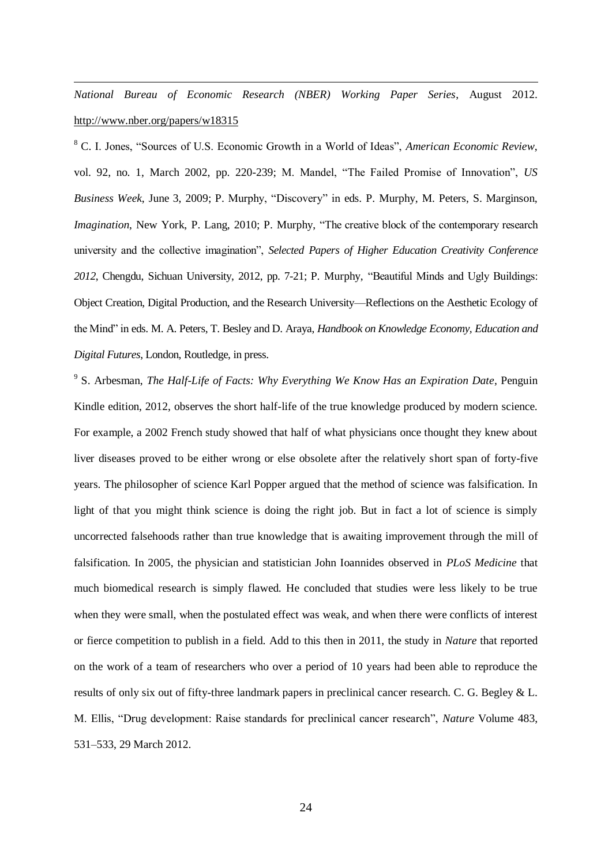*National Bureau of Economic Research (NBER) Working Paper Series*, August 2012. <http://www.nber.org/papers/w18315>

<u>.</u>

<sup>8</sup> C. I. Jones, "Sources of U.S. Economic Growth in a World of Ideas", *American Economic Review*, vol. 92, no. 1, March 2002, pp. 220-239; M. Mandel, "The Failed Promise of Innovation", *US Business Week*, June 3, 2009; P. Murphy, "Discovery" in eds. P. Murphy, M. Peters, S. Marginson, *Imagination*, New York, P. Lang, 2010; P. Murphy, "The creative block of the contemporary research university and the collective imagination", *Selected Papers of Higher Education Creativity Conference 2012*, Chengdu, Sichuan University, 2012, pp. 7-21; P. Murphy, "Beautiful Minds and Ugly Buildings: Object Creation, Digital Production, and the Research University—Reflections on the Aesthetic Ecology of the Mind" in eds. M. A. Peters, T. Besley and D. Araya, *Handbook on Knowledge Economy, Education and Digital Futures*, London, Routledge, in press.

9 S. Arbesman, *The Half-Life of Facts: Why Everything We Know Has an Expiration Date*, Penguin Kindle edition, 2012, observes the short half-life of the true knowledge produced by modern science. For example, a 2002 French study showed that half of what physicians once thought they knew about liver diseases proved to be either wrong or else obsolete after the relatively short span of forty-five years. The philosopher of science Karl Popper argued that the method of science was falsification. In light of that you might think science is doing the right job. But in fact a lot of science is simply uncorrected falsehoods rather than true knowledge that is awaiting improvement through the mill of falsification. In 2005, the physician and statistician John Ioannides observed in *PLoS Medicine* that much biomedical research is simply flawed. He concluded that studies were less likely to be true when they were small, when the postulated effect was weak, and when there were conflicts of interest or fierce competition to publish in a field. Add to this then in 2011, the study in *Nature* that reported on the work of a team of researchers who over a period of 10 years had been able to reproduce the results of only six out of fifty-three landmark papers in preclinical cancer research. C. G. Begley & L. M. Ellis, "Drug development: Raise standards for preclinical cancer research", *Nature* Volume 483, 531–533, 29 March 2012.